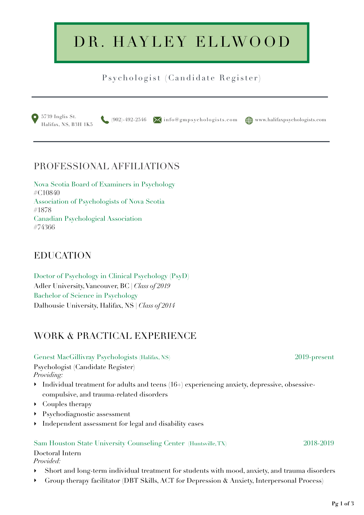# DR. HAYLEY ELLWOOD

## Psychologist (Candidate Register)



## PROFESSIONAL AFFILIATIONS

Nova Scotia Board of Examiners in Psychology #C10840 Association of Psychologists of Nova Scotia #1878 Canadian Psychological Association #74366

## EDUCATION

Doctor of Psychology in Clinical Psychology (PsyD) Adler University, Vancouver, BC *| Class of 2019* Bachelor of Science in Psychology Dalhousie University, Halifax, NS *| Class of 2014*

## WORK & PRACTICAL EXPERIENCE

#### Genest MacGillivray Psychologists (Halifax, NS) 2019-present Psychologist (Candidate Register) *Providing:*

- $\blacktriangleright$  Individual treatment for adults and teens (16+) experiencing anxiety, depressive, obsessivecompulsive, and trauma-related disorders
- ‣ Couples therapy
- ‣ Psychodiagnostic assessment
- ‣ Independent assessment for legal and disability cases

#### Sam Houston State University Counseling Center (Huntsville, TX) 2018-2019

Doctoral Intern *Provided:*

- ‣ Short and long-term individual treatment for students with mood, anxiety, and trauma disorders
- Group therapy facilitator (DBT Skills, ACT for Depression & Anxiety, Interpersonal Process)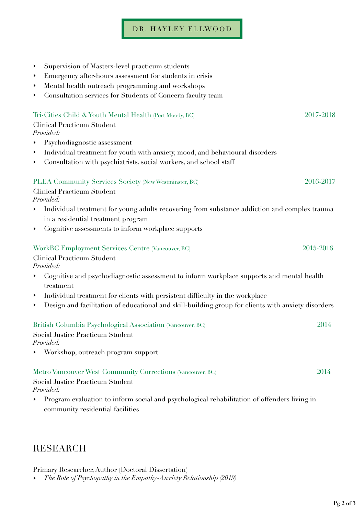### DR. HAYLEY ELLWOOD

| Supervision of Masters-level practicum students                                                    |                                                                                                                                                                                                                                                                                                                                                                                                                                                                                                                                                                                                                                                                                                                         |
|----------------------------------------------------------------------------------------------------|-------------------------------------------------------------------------------------------------------------------------------------------------------------------------------------------------------------------------------------------------------------------------------------------------------------------------------------------------------------------------------------------------------------------------------------------------------------------------------------------------------------------------------------------------------------------------------------------------------------------------------------------------------------------------------------------------------------------------|
| Emergency after-hours assessment for students in crisis                                            |                                                                                                                                                                                                                                                                                                                                                                                                                                                                                                                                                                                                                                                                                                                         |
| Mental health outreach programming and workshops                                                   |                                                                                                                                                                                                                                                                                                                                                                                                                                                                                                                                                                                                                                                                                                                         |
| Consultation services for Students of Concern faculty team                                         |                                                                                                                                                                                                                                                                                                                                                                                                                                                                                                                                                                                                                                                                                                                         |
|                                                                                                    | 2017-2018                                                                                                                                                                                                                                                                                                                                                                                                                                                                                                                                                                                                                                                                                                               |
|                                                                                                    |                                                                                                                                                                                                                                                                                                                                                                                                                                                                                                                                                                                                                                                                                                                         |
|                                                                                                    |                                                                                                                                                                                                                                                                                                                                                                                                                                                                                                                                                                                                                                                                                                                         |
| Psychodiagnostic assessment                                                                        |                                                                                                                                                                                                                                                                                                                                                                                                                                                                                                                                                                                                                                                                                                                         |
| Individual treatment for youth with anxiety, mood, and behavioural disorders                       |                                                                                                                                                                                                                                                                                                                                                                                                                                                                                                                                                                                                                                                                                                                         |
| Consultation with psychiatrists, social workers, and school staff                                  |                                                                                                                                                                                                                                                                                                                                                                                                                                                                                                                                                                                                                                                                                                                         |
|                                                                                                    | 2016-2017                                                                                                                                                                                                                                                                                                                                                                                                                                                                                                                                                                                                                                                                                                               |
|                                                                                                    |                                                                                                                                                                                                                                                                                                                                                                                                                                                                                                                                                                                                                                                                                                                         |
| Individual treatment for young adults recovering from substance addiction and complex trauma       |                                                                                                                                                                                                                                                                                                                                                                                                                                                                                                                                                                                                                                                                                                                         |
| in a residential treatment program                                                                 |                                                                                                                                                                                                                                                                                                                                                                                                                                                                                                                                                                                                                                                                                                                         |
| Cognitive assessments to inform workplace supports                                                 |                                                                                                                                                                                                                                                                                                                                                                                                                                                                                                                                                                                                                                                                                                                         |
|                                                                                                    | 2015-2016                                                                                                                                                                                                                                                                                                                                                                                                                                                                                                                                                                                                                                                                                                               |
|                                                                                                    |                                                                                                                                                                                                                                                                                                                                                                                                                                                                                                                                                                                                                                                                                                                         |
|                                                                                                    |                                                                                                                                                                                                                                                                                                                                                                                                                                                                                                                                                                                                                                                                                                                         |
| treatment                                                                                          |                                                                                                                                                                                                                                                                                                                                                                                                                                                                                                                                                                                                                                                                                                                         |
|                                                                                                    |                                                                                                                                                                                                                                                                                                                                                                                                                                                                                                                                                                                                                                                                                                                         |
| Design and facilitation of educational and skill-building group for clients with anxiety disorders |                                                                                                                                                                                                                                                                                                                                                                                                                                                                                                                                                                                                                                                                                                                         |
|                                                                                                    | 2014                                                                                                                                                                                                                                                                                                                                                                                                                                                                                                                                                                                                                                                                                                                    |
|                                                                                                    |                                                                                                                                                                                                                                                                                                                                                                                                                                                                                                                                                                                                                                                                                                                         |
| Workshop, outreach program support                                                                 |                                                                                                                                                                                                                                                                                                                                                                                                                                                                                                                                                                                                                                                                                                                         |
|                                                                                                    | 2014                                                                                                                                                                                                                                                                                                                                                                                                                                                                                                                                                                                                                                                                                                                    |
|                                                                                                    |                                                                                                                                                                                                                                                                                                                                                                                                                                                                                                                                                                                                                                                                                                                         |
| Program evaluation to inform social and psychological rehabilitation of offenders living in        |                                                                                                                                                                                                                                                                                                                                                                                                                                                                                                                                                                                                                                                                                                                         |
|                                                                                                    | Tri-Cities Child & Youth Mental Health (Port Moody, BC)<br>Clinical Practicum Student<br>Provided:<br>PLEA Community Services Society (New Westminster, BC)<br><b>Clinical Practicum Student</b><br>Provided:<br>WorkBC Employment Services Centre (Vancouver, BC)<br>Clinical Practicum Student<br>Provided:<br>Cognitive and psychodiagnostic assessment to inform workplace supports and mental health<br>Individual treatment for clients with persistent difficulty in the workplace<br>British Columbia Psychological Association (Vancouver, BC)<br>Social Justice Practicum Student<br>Provided:<br>Metro Vancouver West Community Corrections (Vancouver, BC)<br>Social Justice Practicum Student<br>Provided: |

## RESEARCH

#### Primary Researcher, Author (Doctoral Dissertation)

‣ *The Role of Psychopathy in the Empathy-Anxiety Relationship (2019)*